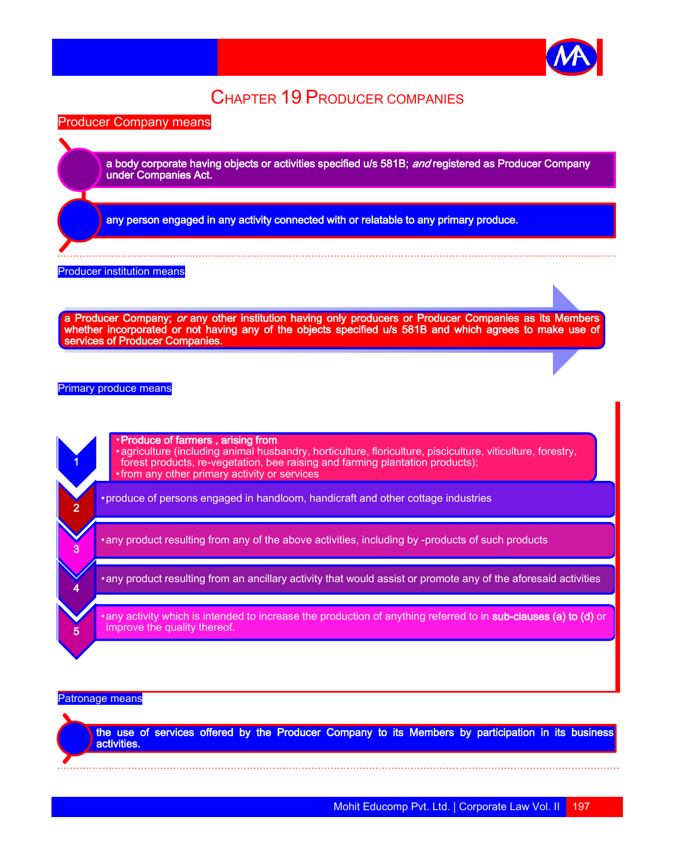

# CHAPTER 19 PRODUCER COMPANIES

Producer Company means

a body corporate having objects or activities specified u/s 581B; and registered as Producer Company under Companies Act.

any person engaged in any activity connected with or relatable to any primary produce.

#### Producer institution means

a Producer Company; *or* any other institution having only producers or Producer Companies as its Members whether incorporated or not having any of the objects specified u/s 581B and which agrees to make use of services of Producer Companies.

Primary produce means

1 •Produce of farmers , arising from •agriculture (including animal husbandry, horticulture, floriculture, pisciculture, viticulture, forestry, forest products, re-vegetation, bee raising and farming plantation products); •from any other primary activity or services  $\mathcal{D}$ •produce of persons engaged in handloom, handicraft and other cottage industries 3 •any product resulting from any of the above activities, including by -products of such products 4 •any product resulting from an ancillary activity that would assist or promote any of the aforesaid activities 5 any activity which is intended to increase the production of anything referred to in sub-clauses (a) to (d) or improve the quality thereof.

#### Patronage means

the use of services offered by the Producer Company to its Members by participation in its business activities.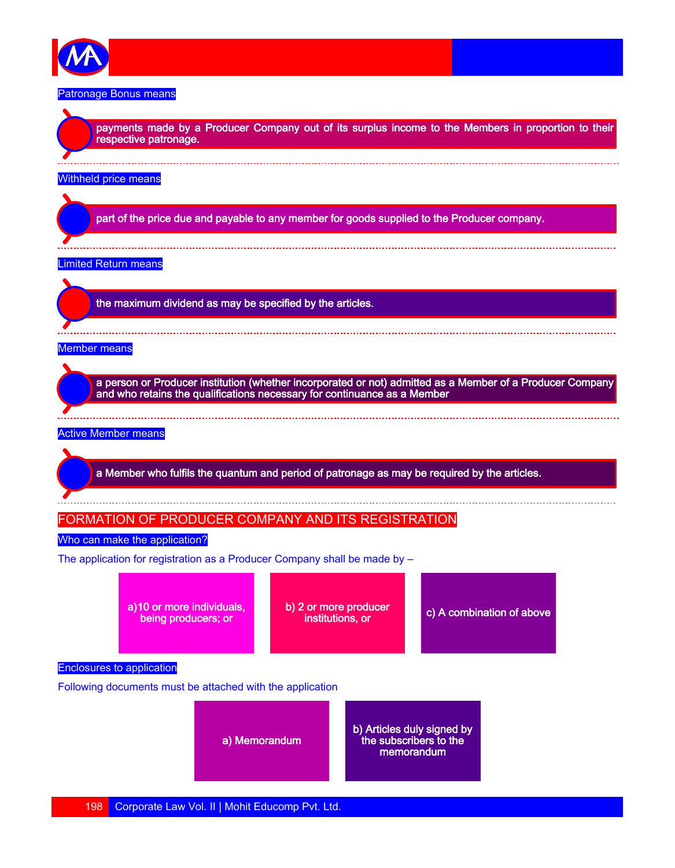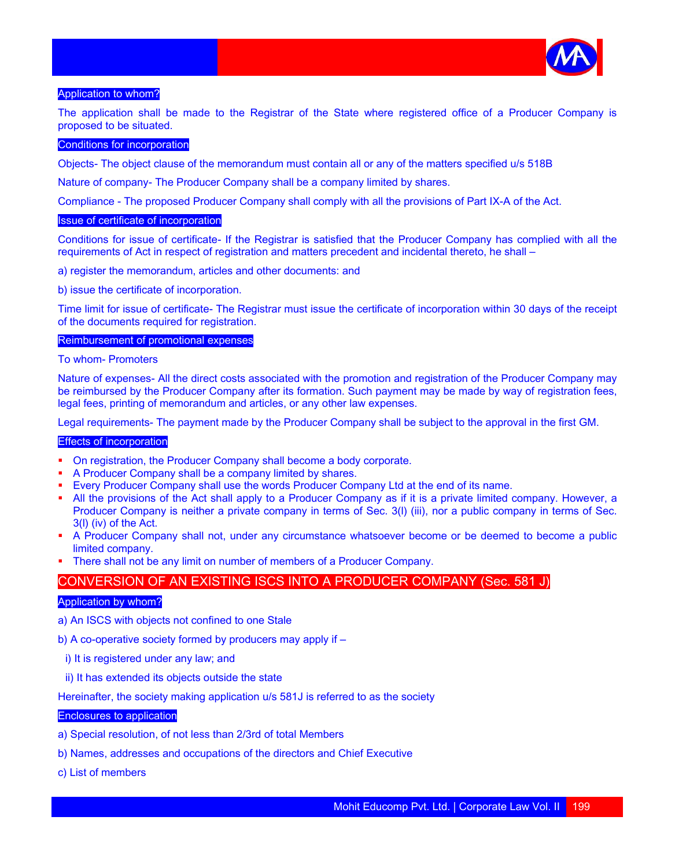

#### Application to whom?

The application shall be made to the Registrar of the State where registered office of a Producer Company is proposed to be situated.

## Conditions for incorporation

Objects- The object clause of the memorandum must contain all or any of the matters specified u/s 518B

Nature of company- The Producer Company shall be a company limited by shares.

Compliance - The proposed Producer Company shall comply with all the provisions of Part IX-A of the Act.

## Issue of certificate of incorporation

Conditions for issue of certificate- If the Registrar is satisfied that the Producer Company has complied with all the requirements of Act in respect of registration and matters precedent and incidental thereto, he shall –

a) register the memorandum, articles and other documents: and

b) issue the certificate of incorporation.

Time limit for issue of certificate- The Registrar must issue the certificate of incorporation within 30 days of the receipt of the documents required for registration.

#### Reimbursement of promotional expenses

To whom- Promoters

Nature of expenses- All the direct costs associated with the promotion and registration of the Producer Company may be reimbursed by the Producer Company after its formation. Such payment may be made by way of registration fees, legal fees, printing of memorandum and articles, or any other law expenses.

Legal requirements- The payment made by the Producer Company shall be subject to the approval in the first GM.

#### Effects of incorporation

- On registration, the Producer Company shall become a body corporate.
- A Producer Company shall be a company limited by shares.
- Every Producer Company shall use the words Producer Company Ltd at the end of its name.
- All the provisions of the Act shall apply to a Producer Company as if it is a private limited company. However, a Producer Company is neither a private company in terms of Sec. 3(l) (iii), nor a public company in terms of Sec. 3(l) (iv) of the Act.
- A Producer Company shall not, under any circumstance whatsoever become or be deemed to become a public limited company.
- There shall not be any limit on number of members of a Producer Company.

# CONVERSION OF AN EXISTING ISCS INTO A PRODUCER COMPANY (Sec. 581 J)

#### Application by whom?

- a) An ISCS with objects not confined to one Stale
- b) A co-operative society formed by producers may apply if
	- i) It is registered under any law; and
	- ii) It has extended its objects outside the state

Hereinafter, the society making application u/s 581J is referred to as the society

#### Enclosures to application

- a) Special resolution, of not less than 2/3rd of total Members
- b) Names, addresses and occupations of the directors and Chief Executive
- c) List of members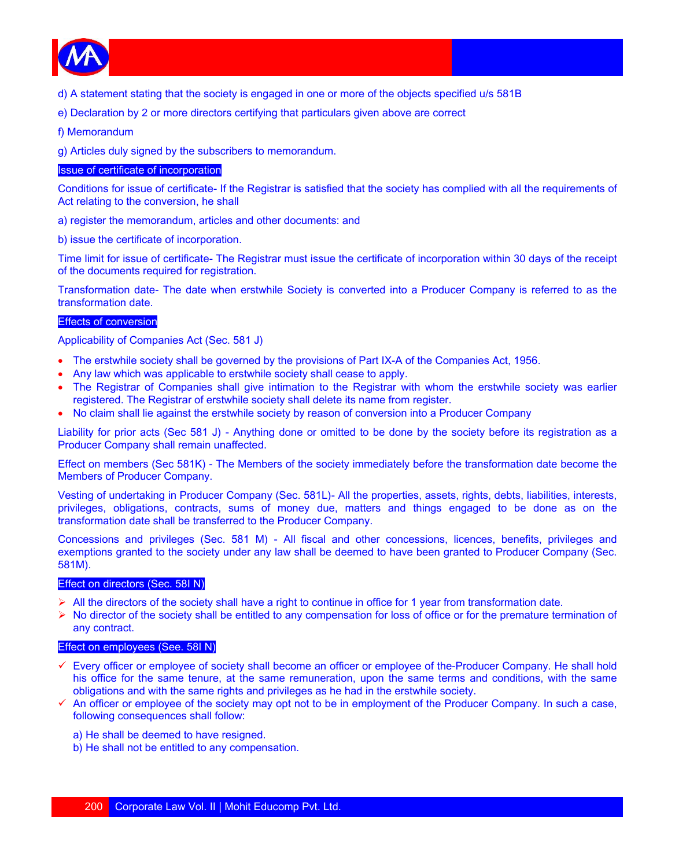

- d) A statement stating that the society is engaged in one or more of the objects specified u/s 581B
- e) Declaration by 2 or more directors certifying that particulars given above are correct
- f) Memorandum

g) Articles duly signed by the subscribers to memorandum.

# Issue of certificate of incorporation

Conditions for issue of certificate- If the Registrar is satisfied that the society has complied with all the requirements of Act relating to the conversion, he shall

- a) register the memorandum, articles and other documents: and
- b) issue the certificate of incorporation.

Time limit for issue of certificate- The Registrar must issue the certificate of incorporation within 30 days of the receipt of the documents required for registration.

Transformation date- The date when erstwhile Society is converted into a Producer Company is referred to as the transformation date.

## Effects of conversion

Applicability of Companies Act (Sec. 581 J)

- The erstwhile society shall be governed by the provisions of Part IX-A of the Companies Act, 1956.
- Any law which was applicable to erstwhile society shall cease to apply.
- The Registrar of Companies shall give intimation to the Registrar with whom the erstwhile society was earlier registered. The Registrar of erstwhile society shall delete its name from register.
- No claim shall lie against the erstwhile society by reason of conversion into a Producer Company

Liability for prior acts (Sec 581 J) - Anything done or omitted to be done by the society before its registration as a Producer Company shall remain unaffected.

Effect on members (Sec 581K) - The Members of the society immediately before the transformation date become the Members of Producer Company.

Vesting of undertaking in Producer Company (Sec. 581L)- All the properties, assets, rights, debts, liabilities, interests, privileges, obligations, contracts, sums of money due, matters and things engaged to be done as on the transformation date shall be transferred to the Producer Company.

Concessions and privileges (Sec. 581 M) - All fiscal and other concessions, licences, benefits, privileges and exemptions granted to the society under any law shall be deemed to have been granted to Producer Company (Sec. 581M).

## Effect on directors (Sec. 58I N)

- $\triangleright$  All the directors of the society shall have a right to continue in office for 1 year from transformation date.
- $\triangleright$  No director of the society shall be entitled to any compensation for loss of office or for the premature termination of any contract.

# Effect on employees (See. 58I N)

- Every officer or employee of society shall become an officer or employee of the-Producer Company. He shall hold his office for the same tenure, at the same remuneration, upon the same terms and conditions, with the same obligations and with the same rights and privileges as he had in the erstwhile society.
- $\checkmark$  An officer or employee of the society may opt not to be in employment of the Producer Company. In such a case, following consequences shall follow:
	- a) He shall be deemed to have resigned.
	- b) He shall not be entitled to any compensation.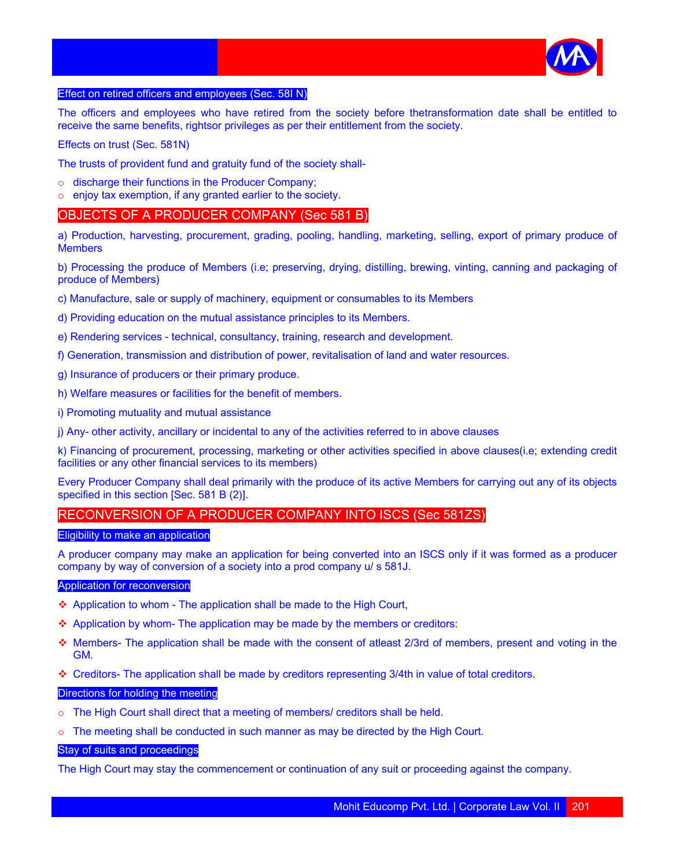

## Effect on retired officers and employees (Sec. 58I N)

The officers and employees who have retired from the society before thetransformation date shall be entitled to receive the same benefits, rightsor privileges as per their entitlement from the society.

Effects on trust (Sec. 581N)

The trusts of provident fund and gratuity fund of the society shall-

- o discharge their functions in the Producer Company;
- o enjoy tax exemption, if any granted earlier to the society.

# OBJECTS OF A PRODUCER COMPANY (Sec 581 B)

a) Production, harvesting, procurement, grading, pooling, handling, marketing, selling, export of primary produce of **Members** 

b) Processing the produce of Members (i.e; preserving, drying, distilling, brewing, vinting, canning and packaging of produce of Members)

- c) Manufacture, sale or supply of machinery, equipment or consumables to its Members
- d) Providing education on the mutual assistance principles to its Members.
- e) Rendering services technical, consultancy, training, research and development.
- f) Generation, transmission and distribution of power, revitalisation of land and water resources.
- g) Insurance of producers or their primary produce.
- h) Welfare measures or facilities for the benefit of members.
- i) Promoting mutuality and mutual assistance
- j) Any- other activity, ancillary or incidental to any of the activities referred to in above clauses

k) Financing of procurement, processing, marketing or other activities specified in above clauses(i.e; extending credit facilities or any other financial services to its members)

Every Producer Company shall deal primarily with the produce of its active Members for carrying out any of its objects specified in this section [Sec. 581 B (2)].

# RECONVERSION OF A PRODUCER COMPANY INTO ISCS (Sec 581ZS)

#### Eligibility to make an application

A producer company may make an application for being converted into an ISCS only if it was formed as a producer company by way of conversion of a society into a prod company u/ s 581J.

#### Application for reconversion

- ◆ Application to whom The application shall be made to the High Court,
- Application by whom- The application may be made by the members or creditors:
- Members- The application shall be made with the consent of atleast 2/3rd of members, present and voting in the GM.
- Creditors- The application shall be made by creditors representing 3/4th in value of total creditors.

#### Directions for holding the meeting

- o The High Court shall direct that a meeting of members/ creditors shall be held.
- $\circ$  The meeting shall be conducted in such manner as may be directed by the High Court.

# Stay of suits and proceedings

The High Court may stay the commencement or continuation of any suit or proceeding against the company.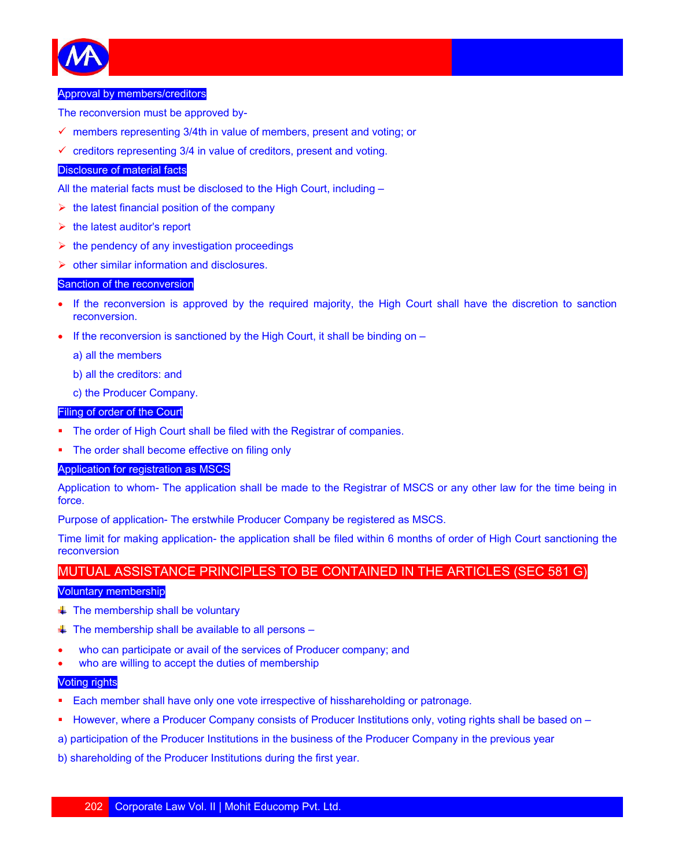

#### Approval by members/creditors

The reconversion must be approved by-

- $\checkmark$  members representing 3/4th in value of members, present and voting; or
- $\checkmark$  creditors representing 3/4 in value of creditors, present and voting.

#### Disclosure of material facts

All the material facts must be disclosed to the High Court, including –

- $\triangleright$  the latest financial position of the company
- $\triangleright$  the latest auditor's report
- $\triangleright$  the pendency of any investigation proceedings
- $\triangleright$  other similar information and disclosures.

#### Sanction of the reconversion

- If the reconversion is approved by the required majority, the High Court shall have the discretion to sanction reconversion.
- If the reconversion is sanctioned by the High Court, it shall be binding on  $-$

a) all the members

- b) all the creditors: and
- c) the Producer Company.

## Filing of order of the Court

- The order of High Court shall be filed with the Registrar of companies.
- The order shall become effective on filing only

#### Application for registration as MSCS

Application to whom- The application shall be made to the Registrar of MSCS or any other law for the time being in force.

Purpose of application- The erstwhile Producer Company be registered as MSCS.

Time limit for making application- the application shall be filed within 6 months of order of High Court sanctioning the reconversion

# MUTUAL ASSISTANCE PRINCIPLES TO BE CONTAINED IN THE ARTICLES (SEC 581 G)

#### Voluntary membership

- $\ddagger$  The membership shall be voluntary
- $\ddagger$  The membership shall be available to all persons –
- who can participate or avail of the services of Producer company; and
- who are willing to accept the duties of membership

## Voting rights

- Each member shall have only one vote irrespective of hisshareholding or patronage.
- However, where a Producer Company consists of Producer Institutions only, voting rights shall be based on –
- a) participation of the Producer Institutions in the business of the Producer Company in the previous year
- b) shareholding of the Producer Institutions during the first year.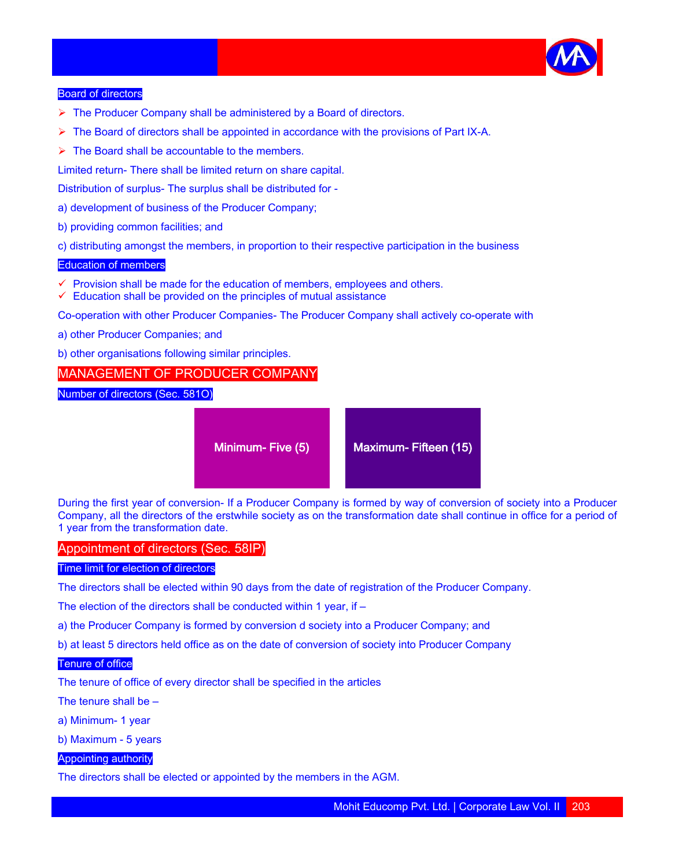

#### Board of directors

- $\triangleright$  The Producer Company shall be administered by a Board of directors.
- $\triangleright$  The Board of directors shall be appointed in accordance with the provisions of Part IX-A.
- $\triangleright$  The Board shall be accountable to the members.

Limited return- There shall be limited return on share capital.

Distribution of surplus- The surplus shall be distributed for -

- a) development of business of the Producer Company;
- b) providing common facilities; and
- c) distributing amongst the members, in proportion to their respective participation in the business

#### Education of members

- $\checkmark$  Provision shall be made for the education of members, employees and others.
- $\checkmark$  Education shall be provided on the principles of mutual assistance

Co-operation with other Producer Companies- The Producer Company shall actively co-operate with

- a) other Producer Companies; and
- b) other organisations following similar principles.

# MANAGEMENT OF PRODUCER COMPANY

Number of directors (Sec. 581O)

Minimum- Five (5) Maximum- Fifteen (15)

During the first year of conversion- If a Producer Company is formed by way of conversion of society into a Producer Company, all the directors of the erstwhile society as on the transformation date shall continue in office for a period of 1 year from the transformation date.

## Appointment of directors (Sec. 58IP)

#### Time limit for election of directors

The directors shall be elected within 90 days from the date of registration of the Producer Company.

The election of the directors shall be conducted within 1 year, if –

a) the Producer Company is formed by conversion d society into a Producer Company; and

b) at least 5 directors held office as on the date of conversion of society into Producer Company

## Tenure of office

The tenure of office of every director shall be specified in the articles

The tenure shall be –

- a) Minimum- 1 year
- b) Maximum 5 years

## Appointing authority

The directors shall be elected or appointed by the members in the AGM.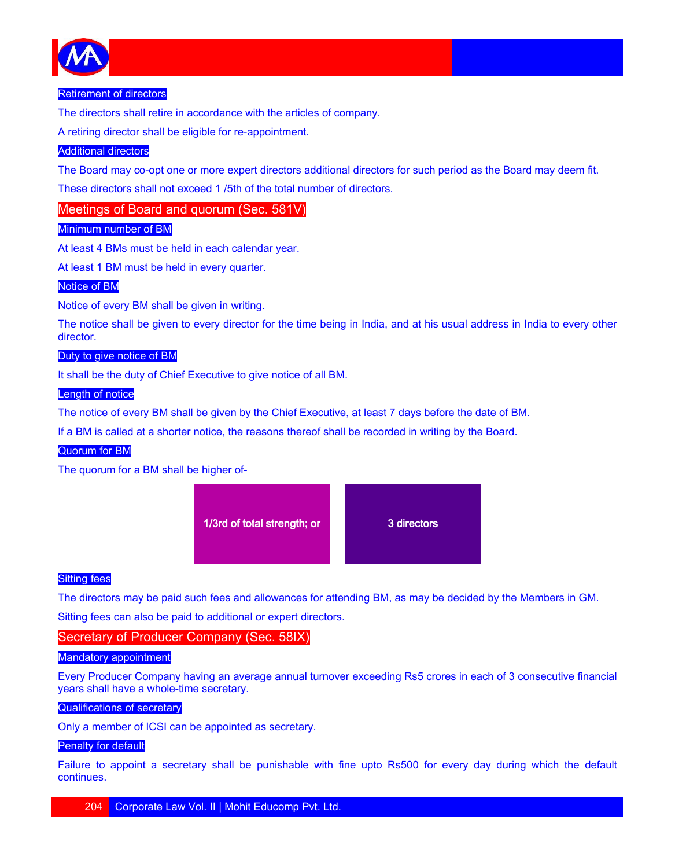

## Retirement of directors

The directors shall retire in accordance with the articles of company.

A retiring director shall be eligible for re-appointment.

# Additional directors

The Board may co-opt one or more expert directors additional directors for such period as the Board may deem fit.

These directors shall not exceed 1 /5th of the total number of directors.

Meetings of Board and quorum (Sec. 581V)

# Minimum number of BM

At least 4 BMs must be held in each calendar year.

At least 1 BM must be held in every quarter.

# Notice of BM

Notice of every BM shall be given in writing.

The notice shall be given to every director for the time being in India, and at his usual address in India to every other director.

## Duty to give notice of BM

It shall be the duty of Chief Executive to give notice of all BM.

#### Length of notice

The notice of every BM shall be given by the Chief Executive, at least 7 days before the date of BM.

If a BM is called at a shorter notice, the reasons thereof shall be recorded in writing by the Board.

# Quorum for BM

The quorum for a BM shall be higher of-



## **Sitting fees**

The directors may be paid such fees and allowances for attending BM, as may be decided by the Members in GM. Sitting fees can also be paid to additional or expert directors.

# Secretary of Producer Company (Sec. 58IX)

## Mandatory appointment

Every Producer Company having an average annual turnover exceeding Rs5 crores in each of 3 consecutive financial years shall have a whole-time secretary.

## Qualifications of secretary

Only a member of ICSI can be appointed as secretary.

# Penalty for default

Failure to appoint a secretary shall be punishable with fine upto Rs500 for every day during which the default continues.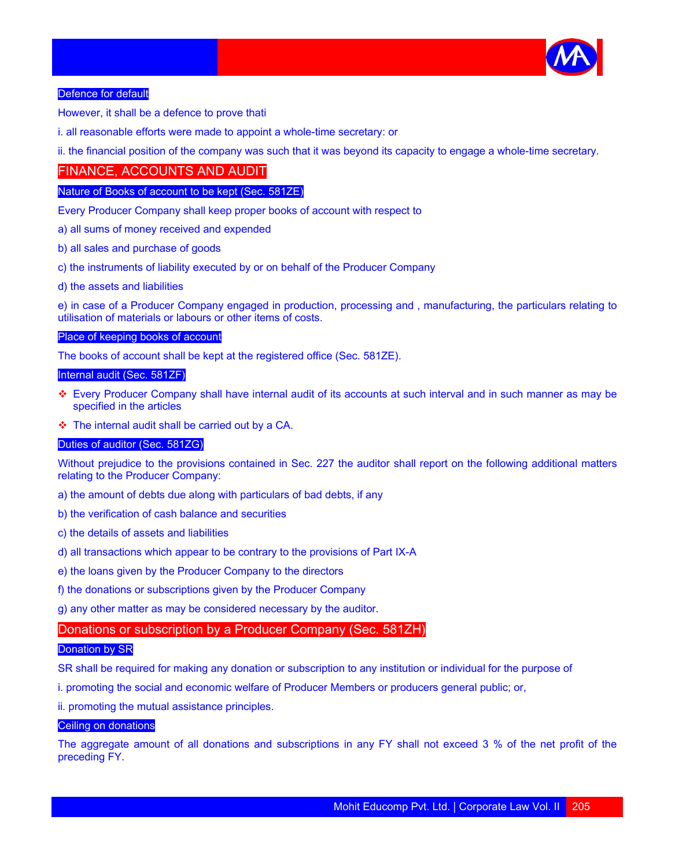

## Defence for default

However, it shall be a defence to prove thati

i. all reasonable efforts were made to appoint a whole-time secretary: or

ii. the financial position of the company was such that it was beyond its capacity to engage a whole-time secretary.

# FINANCE, ACCOUNTS AND AUDIT

## Nature of Books of account to be kept (Sec. 581ZE)

Every Producer Company shall keep proper books of account with respect to

- a) all sums of money received and expended
- b) all sales and purchase of goods
- c) the instruments of liability executed by or on behalf of the Producer Company
- d) the assets and liabilities

e) in case of a Producer Company engaged in production, processing and , manufacturing, the particulars relating to utilisation of materials or labours or other items of costs.

## Place of keeping books of account

The books of account shall be kept at the registered office (Sec. 581ZE).

## Internal audit (Sec. 581ZF)

- Every Producer Company shall have internal audit of its accounts at such interval and in such manner as may be specified in the articles
- $\div$  The internal audit shall be carried out by a CA.

## Duties of auditor (Sec. 581ZG)

Without prejudice to the provisions contained in Sec. 227 the auditor shall report on the following additional matters relating to the Producer Company:

- a) the amount of debts due along with particulars of bad debts, if any
- b) the verification of cash balance and securities
- c) the details of assets and liabilities
- d) all transactions which appear to be contrary to the provisions of Part IX-A
- e) the loans given by the Producer Company to the directors
- f) the donations or subscriptions given by the Producer Company
- g) any other matter as may be considered necessary by the auditor.

# Donations or subscription by a Producer Company (Sec. 581ZH)

# **Donation by SR**

SR shall be required for making any donation or subscription to any institution or individual for the purpose of

i. promoting the social and economic welfare of Producer Members or producers general public; or,

ii. promoting the mutual assistance principles.

#### Ceiling on donations

The aggregate amount of all donations and subscriptions in any FY shall not exceed 3 % of the net profit of the preceding FY.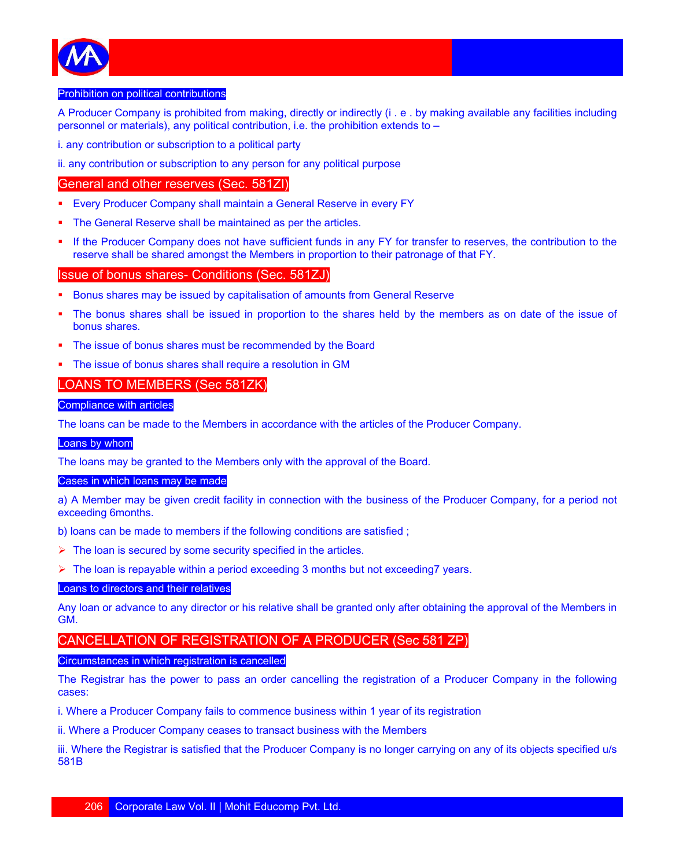

#### Prohibition on political contributions

A Producer Company is prohibited from making, directly or indirectly (i . e . by making available any facilities including personnel or materials), any political contribution, i.e. the prohibition extends to –

i. any contribution or subscription to a political party

ii. any contribution or subscription to any person for any political purpose

# General and other reserves (Sec. 581ZI)

- Every Producer Company shall maintain a General Reserve in every FY
- The General Reserve shall be maintained as per the articles.
- If the Producer Company does not have sufficient funds in any FY for transfer to reserves, the contribution to the reserve shall be shared amongst the Members in proportion to their patronage of that FY.

# Issue of bonus shares- Conditions (Sec. 581ZJ)

- Bonus shares may be issued by capitalisation of amounts from General Reserve
- The bonus shares shall be issued in proportion to the shares held by the members as on date of the issue of bonus shares.
- The issue of bonus shares must be recommended by the Board
- The issue of bonus shares shall require a resolution in GM

# LOANS TO MEMBERS (Sec 581ZK)

# Compliance with articles

The loans can be made to the Members in accordance with the articles of the Producer Company.

#### Loans by whom

The loans may be granted to the Members only with the approval of the Board.

#### Cases in which loans may be made

a) A Member may be given credit facility in connection with the business of the Producer Company, for a period not exceeding 6months.

b) loans can be made to members if the following conditions are satisfied ;

- $\triangleright$  The loan is secured by some security specified in the articles.
- $\triangleright$  The loan is repayable within a period exceeding 3 months but not exceeding 7 years.

#### Loans to directors and their relatives

Any loan or advance to any director or his relative shall be granted only after obtaining the approval of the Members in GM.

# CANCELLATION OF REGISTRATION OF A PRODUCER (Sec 581 ZP)

#### Circumstances in which registration is cancelled

The Registrar has the power to pass an order cancelling the registration of a Producer Company in the following cases:

i. Where a Producer Company fails to commence business within 1 year of its registration

ii. Where a Producer Company ceases to transact business with the Members

iii. Where the Registrar is satisfied that the Producer Company is no longer carrying on any of its objects specified u/s 581B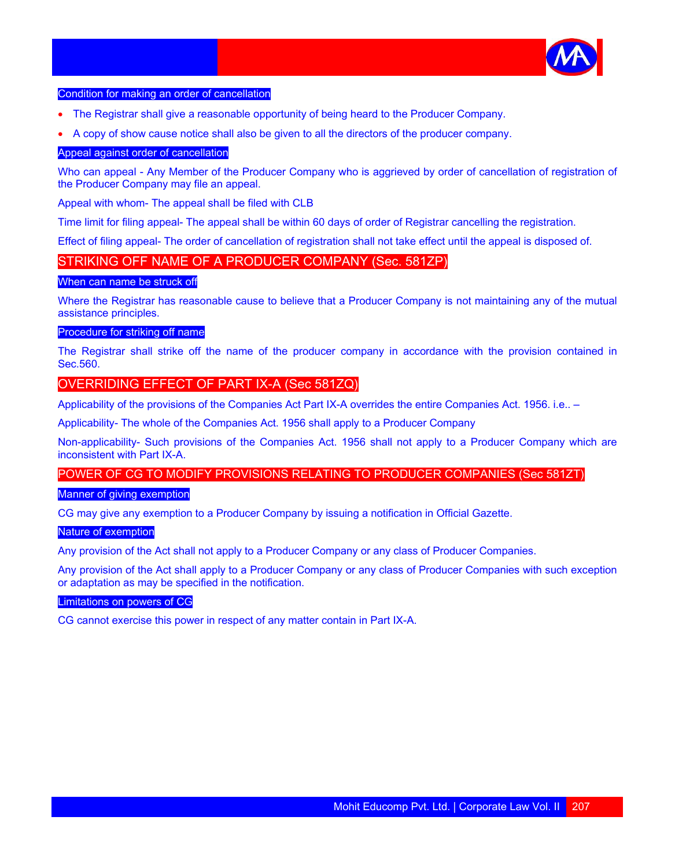

#### Condition for making an order of cancellation

- The Registrar shall give a reasonable opportunity of being heard to the Producer Company.
- A copy of show cause notice shall also be given to all the directors of the producer company.

## Appeal against order of cancellation

Who can appeal - Any Member of the Producer Company who is aggrieved by order of cancellation of registration of the Producer Company may file an appeal.

Appeal with whom- The appeal shall be filed with CLB

Time limit for filing appeal- The appeal shall be within 60 days of order of Registrar cancelling the registration.

Effect of filing appeal- The order of cancellation of registration shall not take effect until the appeal is disposed of.

# STRIKING OFF NAME OF A PRODUCER COMPANY (Sec. 581ZP)

#### When can name be struck off

Where the Registrar has reasonable cause to believe that a Producer Company is not maintaining any of the mutual assistance principles.

#### Procedure for striking off name

The Registrar shall strike off the name of the producer company in accordance with the provision contained in Sec.560.

# OVERRIDING EFFECT OF PART IX-A (Sec 581ZQ)

Applicability of the provisions of the Companies Act Part IX-A overrides the entire Companies Act. 1956. i.e.. –

Applicability- The whole of the Companies Act. 1956 shall apply to a Producer Company

Non-applicability- Such provisions of the Companies Act. 1956 shall not apply to a Producer Company which are inconsistent with Part IX-A.

# POWER OF CG TO MODIFY PROVISIONS RELATING TO PRODUCER COMPANIES (Sec 581ZT)

#### Manner of giving exemption

CG may give any exemption to a Producer Company by issuing a notification in Official Gazette.

#### Nature of exemption

Any provision of the Act shall not apply to a Producer Company or any class of Producer Companies.

Any provision of the Act shall apply to a Producer Company or any class of Producer Companies with such exception or adaptation as may be specified in the notification.

#### Limitations on powers of CG

CG cannot exercise this power in respect of any matter contain in Part IX-A.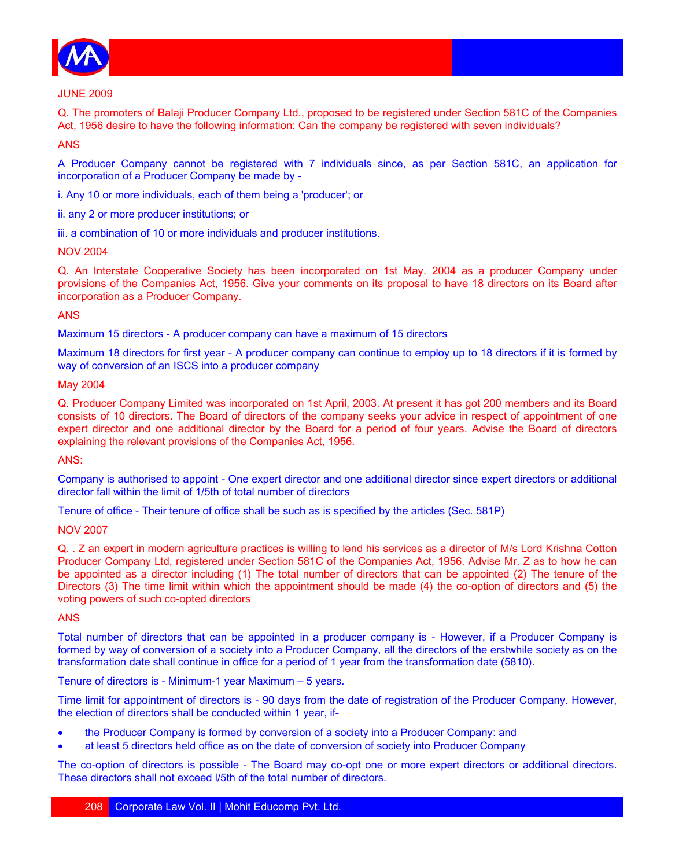

#### JUNE 2009

Q. The promoters of Balaji Producer Company Ltd., proposed to be registered under Section 581C of the Companies Act, 1956 desire to have the following information: Can the company be registered with seven individuals?

# ANS

A Producer Company cannot be registered with 7 individuals since, as per Section 581C, an application for incorporation of a Producer Company be made by -

i. Any 10 or more individuals, each of them being a 'producer'; or

ii. any 2 or more producer institutions; or

iii. a combination of 10 or more individuals and producer institutions.

#### NOV 2004

Q. An Interstate Cooperative Society has been incorporated on 1st May. 2004 as a producer Company under provisions of the Companies Act, 1956. Give your comments on its proposal to have 18 directors on its Board after incorporation as a Producer Company.

#### ANS

Maximum 15 directors - A producer company can have a maximum of 15 directors

Maximum 18 directors for first year - A producer company can continue to employ up to 18 directors if it is formed by way of conversion of an ISCS into a producer company

#### May 2004

Q. Producer Company Limited was incorporated on 1st April, 2003. At present it has got 200 members and its Board consists of 10 directors. The Board of directors of the company seeks your advice in respect of appointment of one expert director and one additional director by the Board for a period of four years. Advise the Board of directors explaining the relevant provisions of the Companies Act, 1956.

ANS:

Company is authorised to appoint - One expert director and one additional director since expert directors or additional director fall within the limit of 1/5th of total number of directors

Tenure of office - Their tenure of office shall be such as is specified by the articles (Sec. 581P)

#### NOV 2007

Q. . Z an expert in modern agriculture practices is willing to lend his services as a director of M/s Lord Krishna Cotton Producer Company Ltd, registered under Section 581C of the Companies Act, 1956. Advise Mr. Z as to how he can be appointed as a director including (1) The total number of directors that can be appointed (2) The tenure of the Directors (3) The time limit within which the appointment should be made (4) the co-option of directors and (5) the voting powers of such co-opted directors

## ANS

Total number of directors that can be appointed in a producer company is - However, if a Producer Company is formed by way of conversion of a society into a Producer Company, all the directors of the erstwhile society as on the transformation date shall continue in office for a period of 1 year from the transformation date (5810).

Tenure of directors is - Minimum-1 year Maximum – 5 years.

Time limit for appointment of directors is - 90 days from the date of registration of the Producer Company. However, the election of directors shall be conducted within 1 year, if-

- the Producer Company is formed by conversion of a society into a Producer Company: and
- at least 5 directors held office as on the date of conversion of society into Producer Company

The co-option of directors is possible - The Board may co-opt one or more expert directors or additional directors. These directors shall not exceed l/5th of the total number of directors.